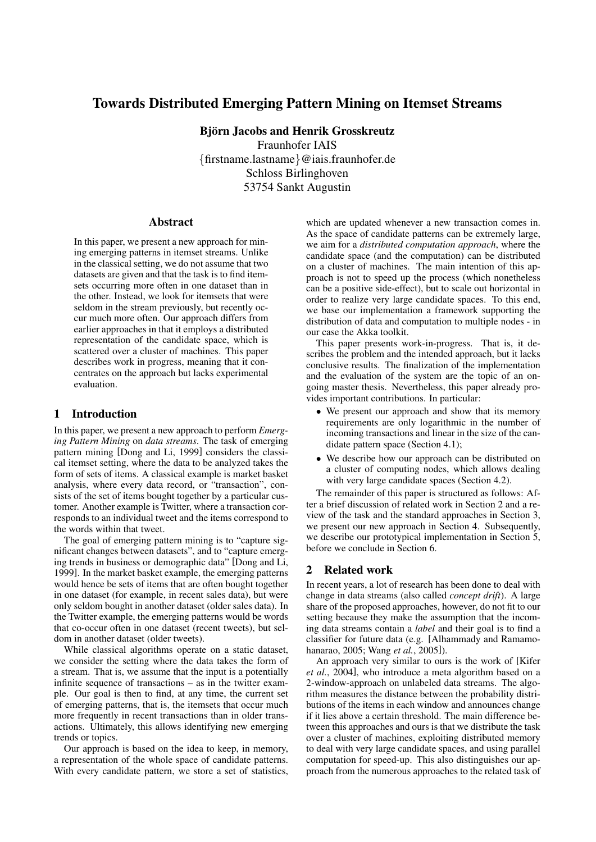# Towards Distributed Emerging Pattern Mining on Itemset Streams

Björn Jacobs and Henrik Grosskreutz Fraunhofer IAIS {firstname.lastname}@iais.fraunhofer.de Schloss Birlinghoven 53754 Sankt Augustin

#### Abstract

In this paper, we present a new approach for mining emerging patterns in itemset streams. Unlike in the classical setting, we do not assume that two datasets are given and that the task is to find itemsets occurring more often in one dataset than in the other. Instead, we look for itemsets that were seldom in the stream previously, but recently occur much more often. Our approach differs from earlier approaches in that it employs a distributed representation of the candidate space, which is scattered over a cluster of machines. This paper describes work in progress, meaning that it concentrates on the approach but lacks experimental evaluation.

# 1 Introduction

In this paper, we present a new approach to perform *Emerging Pattern Mining* on *data streams*. The task of emerging pattern mining [Dong and Li, 1999] considers the classical itemset setting, where the data to be analyzed takes the form of sets of items. A classical example is market basket analysis, where every data record, or "transaction", consists of the set of items bought together by a particular customer. Another example is Twitter, where a transaction corresponds to an individual tweet and the items correspond to the words within that tweet.

The goal of emerging pattern mining is to "capture significant changes between datasets", and to "capture emerging trends in business or demographic data" [Dong and Li, 1999]. In the market basket example, the emerging patterns would hence be sets of items that are often bought together in one dataset (for example, in recent sales data), but were only seldom bought in another dataset (older sales data). In the Twitter example, the emerging patterns would be words that co-occur often in one dataset (recent tweets), but seldom in another dataset (older tweets).

While classical algorithms operate on a static dataset, we consider the setting where the data takes the form of a stream. That is, we assume that the input is a potentially infinite sequence of transactions – as in the twitter example. Our goal is then to find, at any time, the current set of emerging patterns, that is, the itemsets that occur much more frequently in recent transactions than in older transactions. Ultimately, this allows identifying new emerging trends or topics.

Our approach is based on the idea to keep, in memory, a representation of the whole space of candidate patterns. With every candidate pattern, we store a set of statistics, which are updated whenever a new transaction comes in. As the space of candidate patterns can be extremely large, we aim for a *distributed computation approach*, where the candidate space (and the computation) can be distributed on a cluster of machines. The main intention of this approach is not to speed up the process (which nonetheless can be a positive side-effect), but to scale out horizontal in order to realize very large candidate spaces. To this end, we base our implementation a framework supporting the distribution of data and computation to multiple nodes - in our case the Akka toolkit.

This paper presents work-in-progress. That is, it describes the problem and the intended approach, but it lacks conclusive results. The finalization of the implementation and the evaluation of the system are the topic of an ongoing master thesis. Nevertheless, this paper already provides important contributions. In particular:

- We present our approach and show that its memory requirements are only logarithmic in the number of incoming transactions and linear in the size of the candidate pattern space (Section 4.1);
- We describe how our approach can be distributed on a cluster of computing nodes, which allows dealing with very large candidate spaces (Section 4.2).

The remainder of this paper is structured as follows: After a brief discussion of related work in Section 2 and a review of the task and the standard approaches in Section 3, we present our new approach in Section 4. Subsequently, we describe our prototypical implementation in Section 5, before we conclude in Section 6.

### 2 Related work

In recent years, a lot of research has been done to deal with change in data streams (also called *concept drift*). A large share of the proposed approaches, however, do not fit to our setting because they make the assumption that the incoming data streams contain a *label* and their goal is to find a classifier for future data (e.g. [Alhammady and Ramamohanarao, 2005; Wang *et al.*, 2005]).

An approach very similar to ours is the work of [Kifer *et al.*, 2004], who introduce a meta algorithm based on a 2-window-approach on unlabeled data streams. The algorithm measures the distance between the probability distributions of the items in each window and announces change if it lies above a certain threshold. The main difference between this approaches and ours is that we distribute the task over a cluster of machines, exploiting distributed memory to deal with very large candidate spaces, and using parallel computation for speed-up. This also distinguishes our approach from the numerous approaches to the related task of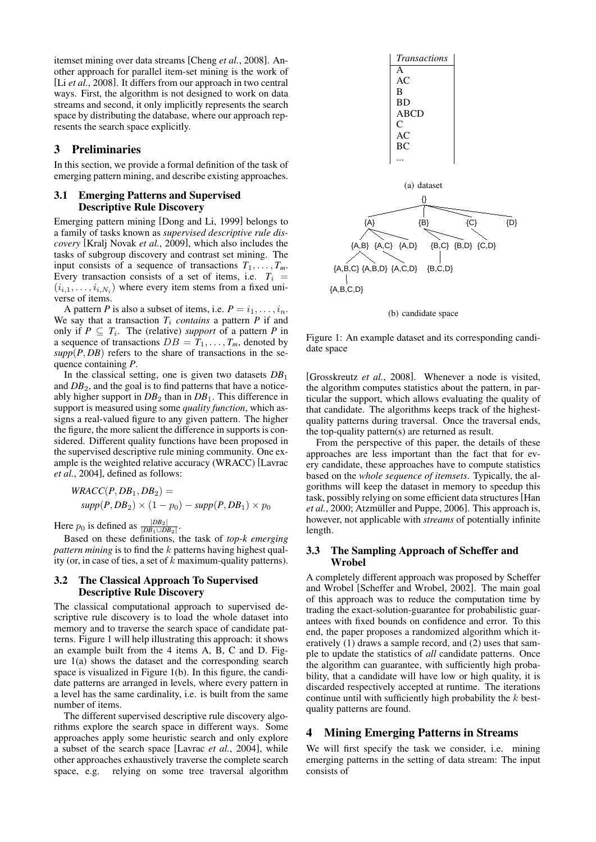itemset mining over data streams [Cheng *et al.*, 2008]. Another approach for parallel item-set mining is the work of [Li *et al.*, 2008]. It differs from our approach in two central ways. First, the algorithm is not designed to work on data streams and second, it only implicitly represents the search space by distributing the database, where our approach represents the search space explicitly.

## 3 Preliminaries

In this section, we provide a formal definition of the task of emerging pattern mining, and describe existing approaches.

#### 3.1 Emerging Patterns and Supervised Descriptive Rule Discovery

Emerging pattern mining [Dong and Li, 1999] belongs to a family of tasks known as *supervised descriptive rule discovery* [Kralj Novak *et al.*, 2009], which also includes the tasks of subgroup discovery and contrast set mining. The input consists of a sequence of transactions  $T_1, \ldots, T_m$ . Every transaction consists of a set of items, i.e.  $T_i$  =  $(i_{i,1}, \ldots, i_{i,N_i})$  where every item stems from a fixed universe of items.

A pattern *P* is also a subset of items, i.e.  $P = i_1, \ldots, i_n$ . We say that a transaction  $T_i$  *contains* a pattern  $P$  if and only if  $P \subseteq T_i$ . The (relative) *support* of a pattern *P* in a sequence of transactions  $DB = T_1, \ldots, T_m$ , denoted by  $supp(P, DB)$  refers to the share of transactions in the sequence containing *P*.

In the classical setting, one is given two datasets *DB*<sup>1</sup> and *DB*2, and the goal is to find patterns that have a noticeably higher support in  $DB_2$  than in  $DB_1$ . This difference in support is measured using some *quality function*, which assigns a real-valued figure to any given pattern. The higher the figure, the more salient the difference in supports is considered. Different quality functions have been proposed in the supervised descriptive rule mining community. One example is the weighted relative accuracy (WRACC) [Lavrac *et al.*, 2004], defined as follows:

$$
WRACC(P, DB1, DB2) =
$$
  
 
$$
supp(P, DB2) \times (1 - p0) - supp(P, DB1) \times p0
$$

Here  $p_0$  is defined as  $\frac{|DB_2|}{|DB_1 \cup DB_2|}$ .

Based on these definitions, the task of *top-k emerging pattern mining* is to find the k patterns having highest quality (or, in case of ties, a set of  $k$  maximum-quality patterns).

## 3.2 The Classical Approach To Supervised Descriptive Rule Discovery

The classical computational approach to supervised descriptive rule discovery is to load the whole dataset into memory and to traverse the search space of candidate patterns. Figure 1 will help illustrating this approach: it shows an example built from the 4 items A, B, C and D. Figure 1(a) shows the dataset and the corresponding search space is visualized in Figure 1(b). In this figure, the candidate patterns are arranged in levels, where every pattern in a level has the same cardinality, i.e. is built from the same number of items.

The different supervised descriptive rule discovery algorithms explore the search space in different ways. Some approaches apply some heuristic search and only explore a subset of the search space [Lavrac *et al.*, 2004], while other approaches exhaustively traverse the complete search space, e.g. relying on some tree traversal algorithm



(b) candidate space

Figure 1: An example dataset and its corresponding candidate space

[Grosskreutz *et al.*, 2008]. Whenever a node is visited, the algorithm computes statistics about the pattern, in particular the support, which allows evaluating the quality of that candidate. The algorithms keeps track of the highestquality patterns during traversal. Once the traversal ends, the top-quality pattern(s) are returned as result.

From the perspective of this paper, the details of these approaches are less important than the fact that for every candidate, these approaches have to compute statistics based on the *whole sequence of itemsets*. Typically, the algorithms will keep the dataset in memory to speedup this task, possibly relying on some efficient data structures[Han *et al.*, 2000; Atzmüller and Puppe, 2006]. This approach is, however, not applicable with *streams* of potentially infinite length.

## 3.3 The Sampling Approach of Scheffer and Wrobel

A completely different approach was proposed by Scheffer and Wrobel [Scheffer and Wrobel, 2002]. The main goal of this approach was to reduce the computation time by trading the exact-solution-guarantee for probabilistic guarantees with fixed bounds on confidence and error. To this end, the paper proposes a randomized algorithm which iteratively (1) draws a sample record, and (2) uses that sample to update the statistics of *all* candidate patterns. Once the algorithm can guarantee, with sufficiently high probability, that a candidate will have low or high quality, it is discarded respectively accepted at runtime. The iterations continue until with sufficiently high probability the k bestquality patterns are found.

# 4 Mining Emerging Patterns in Streams

We will first specify the task we consider, i.e. mining emerging patterns in the setting of data stream: The input consists of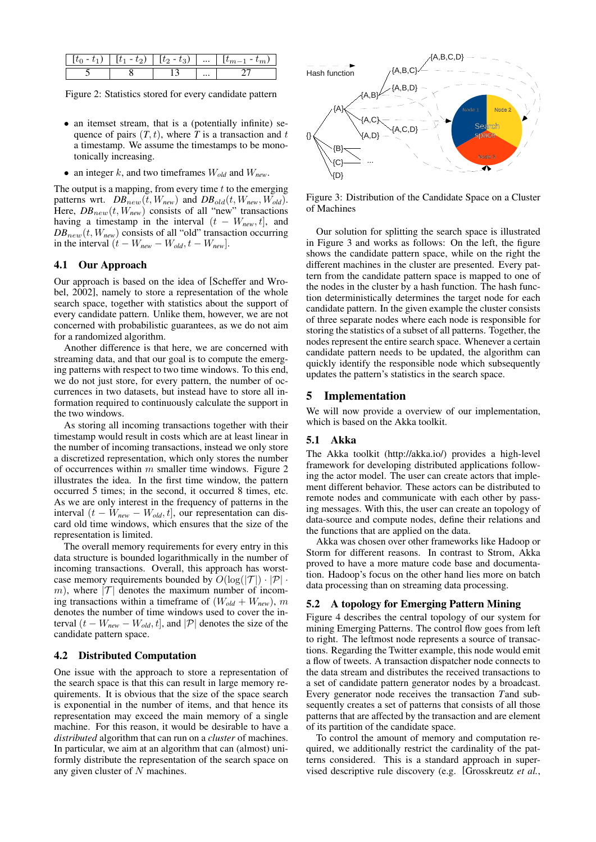| $\sim$ | - | $\cdots$ |  |
|--------|---|----------|--|
|        |   | $\cdots$ |  |

Figure 2: Statistics stored for every candidate pattern

- an itemset stream, that is a (potentially infinite) sequence of pairs  $(T, t)$ , where *T* is a transaction and t a timestamp. We assume the timestamps to be monotonically increasing.
- an integer k, and two timeframes  $W_{old}$  and  $W_{new}$ .

The output is a mapping, from every time  $t$  to the emerging patterns wrt.  $DB_{new}(t, W_{new})$  and  $DB_{old}(t, W_{new}, W_{old})$ . Here,  $DB_{new}(t, W_{new})$  consists of all "new" transactions having a timestamp in the interval  $(t - W_{new}, t]$ , and  $DB_{new}(t, W_{new})$  consists of all "old" transaction occurring in the interval  $(t - W_{new} - W_{old}, t - W_{new})$ .

## 4.1 Our Approach

Our approach is based on the idea of [Scheffer and Wrobel, 2002], namely to store a representation of the whole search space, together with statistics about the support of every candidate pattern. Unlike them, however, we are not concerned with probabilistic guarantees, as we do not aim for a randomized algorithm.

Another difference is that here, we are concerned with streaming data, and that our goal is to compute the emerging patterns with respect to two time windows. To this end, we do not just store, for every pattern, the number of occurrences in two datasets, but instead have to store all information required to continuously calculate the support in the two windows.

As storing all incoming transactions together with their timestamp would result in costs which are at least linear in the number of incoming transactions, instead we only store a discretized representation, which only stores the number of occurrences within  $m$  smaller time windows. Figure 2 illustrates the idea. In the first time window, the pattern occurred 5 times; in the second, it occurred 8 times, etc. As we are only interest in the frequency of patterns in the interval  $(t - W_{new} - W_{old}, t]$ , our representation can discard old time windows, which ensures that the size of the representation is limited.

The overall memory requirements for every entry in this data structure is bounded logarithmically in the number of incoming transactions. Overall, this approach has worstcase memory requirements bounded by  $O(\log(|\mathcal{T}|) \cdot |\mathcal{P}| \cdot$ m), where  $|\mathcal{T}|$  denotes the maximum number of incoming transactions within a timeframe of  $(W_{old} + W_{new})$ , m denotes the number of time windows used to cover the interval  $(t - W_{new} - W_{old}, t]$ , and  $|\mathcal{P}|$  denotes the size of the candidate pattern space.

### 4.2 Distributed Computation

One issue with the approach to store a representation of the search space is that this can result in large memory requirements. It is obvious that the size of the space search is exponential in the number of items, and that hence its representation may exceed the main memory of a single machine. For this reason, it would be desirable to have a *distributed* algorithm that can run on a *cluster* of machines. In particular, we aim at an algorithm that can (almost) uniformly distribute the representation of the search space on any given cluster of N machines.



Figure 3: Distribution of the Candidate Space on a Cluster of Machines

Our solution for splitting the search space is illustrated in Figure 3 and works as follows: On the left, the figure shows the candidate pattern space, while on the right the different machines in the cluster are presented. Every pattern from the candidate pattern space is mapped to one of the nodes in the cluster by a hash function. The hash function deterministically determines the target node for each candidate pattern. In the given example the cluster consists of three separate nodes where each node is responsible for storing the statistics of a subset of all patterns. Together, the nodes represent the entire search space. Whenever a certain candidate pattern needs to be updated, the algorithm can quickly identify the responsible node which subsequently updates the pattern's statistics in the search space.

#### 5 Implementation

We will now provide a overview of our implementation, which is based on the Akka toolkit.

#### 5.1 Akka

The Akka toolkit (http://akka.io/) provides a high-level framework for developing distributed applications following the actor model. The user can create actors that implement different behavior. These actors can be distributed to remote nodes and communicate with each other by passing messages. With this, the user can create an topology of data-source and compute nodes, define their relations and the functions that are applied on the data.

Akka was chosen over other frameworks like Hadoop or Storm for different reasons. In contrast to Strom, Akka proved to have a more mature code base and documentation. Hadoop's focus on the other hand lies more on batch data processing than on streaming data processing.

# 5.2 A topology for Emerging Pattern Mining

Figure 4 describes the central topology of our system for mining Emerging Patterns. The control flow goes from left to right. The leftmost node represents a source of transactions. Regarding the Twitter example, this node would emit a flow of tweets. A transaction dispatcher node connects to the data stream and distributes the received transactions to a set of candidate pattern generator nodes by a broadcast. Every generator node receives the transaction *T*and subsequently creates a set of patterns that consists of all those patterns that are affected by the transaction and are element of its partition of the candidate space.

To control the amount of memory and computation required, we additionally restrict the cardinality of the patterns considered. This is a standard approach in supervised descriptive rule discovery (e.g. [Grosskreutz *et al.*,